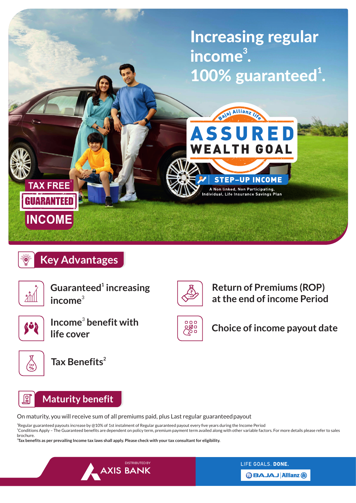

# **Key Advantages**



**<sup>1</sup> Guaranteed increasing**  3 **income**



Income<sup>3</sup> benefit with **life cover**



**2 Tax Benefits**



### **Maturity benefit**

On maturity, you will receive sum of all premiums paid, plus Last regular guaranteedpayout

 $^3$ Regular guaranteed payouts increase by @10% of 1st instalment of Regular guaranteed payout every five years during the Income Period <sup>1</sup>Conditions Apply – The Guaranteed benefits are dependent on policy term, premium payment term availed along with other variable factors. For more details please refer to sales brochure.

 $000$ 

感。

**Return of Premiums (ROP) at the end of income Period**

**Choice of income payout date**

2 **Tax benefits as per prevailing Income tax laws shall apply. Please check with your tax consultant for eligibility.**